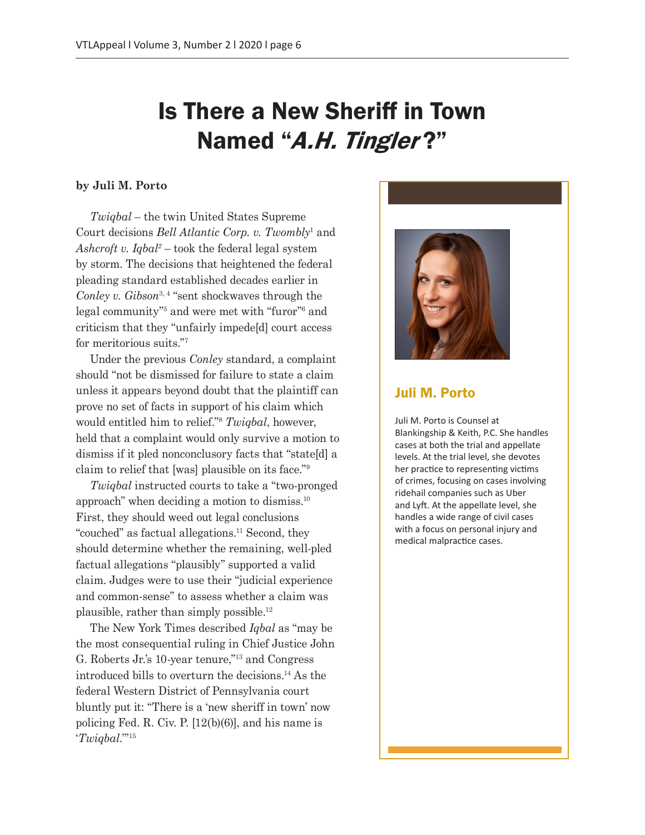# Is There a New Sheriff in Town Named "A.H. Tingler?"

#### **by Juli M. Porto**

*Twiqbal* – the twin United States Supreme Court decisions *Bell Atlantic Corp. v. Twombly*<sup>1</sup> and *Ashcroft v. Iqbal2* – took the federal legal system by storm. The decisions that heightened the federal pleading standard established decades earlier in Conley v. Gibson<sup>3, 4</sup> "sent shockwaves through the legal community"5 and were met with "furor"6 and criticism that they "unfairly impede[d] court access for meritorious suits."7

Under the previous *Conley* standard, a complaint should "not be dismissed for failure to state a claim unless it appears beyond doubt that the plaintiff can prove no set of facts in support of his claim which would entitled him to relief."8 *Twiqbal*, however, held that a complaint would only survive a motion to dismiss if it pled nonconclusory facts that "state[d] a claim to relief that [was] plausible on its face."9

*Twiqbal* instructed courts to take a "two-pronged approach" when deciding a motion to dismiss.10 First, they should weed out legal conclusions "couched" as factual allegations.<sup>11</sup> Second, they should determine whether the remaining, well-pled factual allegations "plausibly" supported a valid claim. Judges were to use their "judicial experience and common-sense" to assess whether a claim was plausible, rather than simply possible.12

The New York Times described *Iqbal* as "may be the most consequential ruling in Chief Justice John G. Roberts Jr.'s 10-year tenure,"13 and Congress introduced bills to overturn the decisions.14 As the federal Western District of Pennsylvania court bluntly put it: "There is a 'new sheriff in town' now policing Fed. R. Civ. P. [12(b)(6)], and his name is '*Twiqbal*.'"15



## Juli M. Porto

Juli M. Porto is Counsel at Blankingship & Keith, P.C. She handles cases at both the trial and appellate levels. At the trial level, she devotes her practice to representing victims of crimes, focusing on cases involving ridehail companies such as Uber and Lyft. At the appellate level, she handles a wide range of civil cases with a focus on personal injury and medical malpractice cases.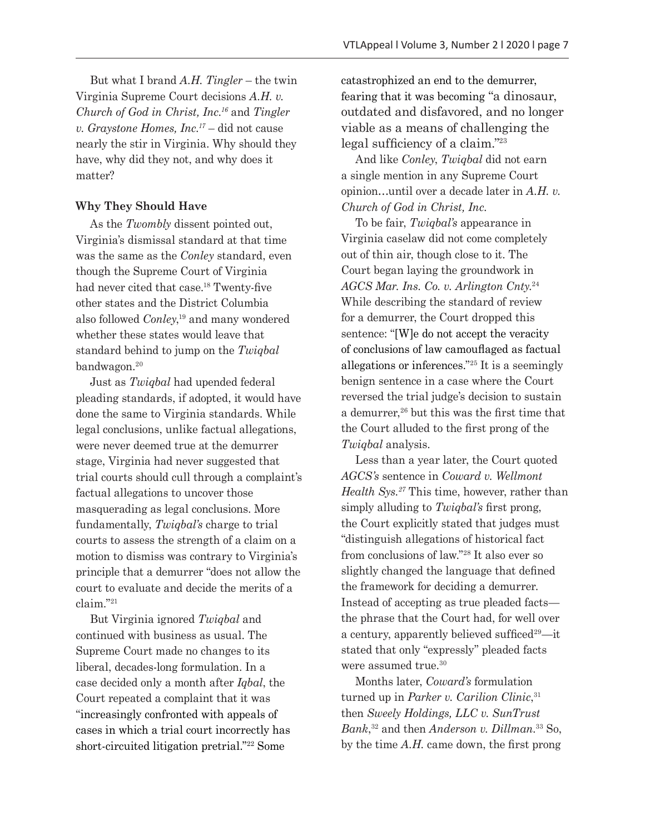But what I brand *A.H. Tingler* – the twin Virginia Supreme Court decisions *A.H. v. Church of God in Christ, Inc.16* and *Tingler v. Graystone Homes, Inc.17* – did not cause nearly the stir in Virginia. Why should they have, why did they not, and why does it matter?

## **Why They Should Have**

As the *Twombly* dissent pointed out, Virginia's dismissal standard at that time was the same as the *Conley* standard, even though the Supreme Court of Virginia had never cited that case.<sup>18</sup> Twenty-five other states and the District Columbia also followed *Conley*, 19 and many wondered whether these states would leave that standard behind to jump on the *Twiqbal* bandwagon.<sup>20</sup>

Just as *Twiqbal* had upended federal pleading standards, if adopted, it would have done the same to Virginia standards. While legal conclusions, unlike factual allegations, were never deemed true at the demurrer stage, Virginia had never suggested that trial courts should cull through a complaint's factual allegations to uncover those masquerading as legal conclusions. More fundamentally, *Twiqbal's* charge to trial courts to assess the strength of a claim on a motion to dismiss was contrary to Virginia's principle that a demurrer "does not allow the court to evaluate and decide the merits of a claim."21

But Virginia ignored *Twiqbal* and continued with business as usual. The Supreme Court made no changes to its liberal, decades-long formulation. In a case decided only a month after *Iqbal*, the Court repeated a complaint that it was "increasingly confronted with appeals of cases in which a trial court incorrectly has short-circuited litigation pretrial."22 Some

catastrophized an end to the demurrer, fearing that it was becoming "a dinosaur, outdated and disfavored, and no longer viable as a means of challenging the legal sufficiency of a claim."<sup>23</sup>

And like *Conley*, *Twiqbal* did not earn a single mention in any Supreme Court opinion…until over a decade later in *A.H. v. Church of God in Christ, Inc.*

To be fair, *Twiqbal's* appearance in Virginia caselaw did not come completely out of thin air, though close to it. The Court began laying the groundwork in *AGCS Mar. Ins. Co. v. Arlington Cnty.*<sup>24</sup> While describing the standard of review for a demurrer, the Court dropped this sentence: "[W]e do not accept the veracity of conclusions of law camouflaged as factual allegations or inferences."25 It is a seemingly benign sentence in a case where the Court reversed the trial judge's decision to sustain a demurrer,<sup>26</sup> but this was the first time that the Court alluded to the first prong of the *Twiqbal* analysis.

Less than a year later, the Court quoted *AGCS's* sentence in *Coward v. Wellmont Health Sys.27* This time, however, rather than simply alluding to *Twiqbal's* first prong, the Court explicitly stated that judges must "distinguish allegations of historical fact from conclusions of law."28 It also ever so slightly changed the language that defined the framework for deciding a demurrer. Instead of accepting as true pleaded facts the phrase that the Court had, for well over a century, apparently believed sufficed<sup>29</sup>—it stated that only "expressly" pleaded facts were assumed true.<sup>30</sup>

Months later, *Coward's* formulation turned up in *Parker v. Carilion Clinic*, 31 then *Sweely Holdings, LLC v. SunTrust Bank*, 32 and then *Anderson v. Dillman*. 33 So, by the time *A.H.* came down, the first prong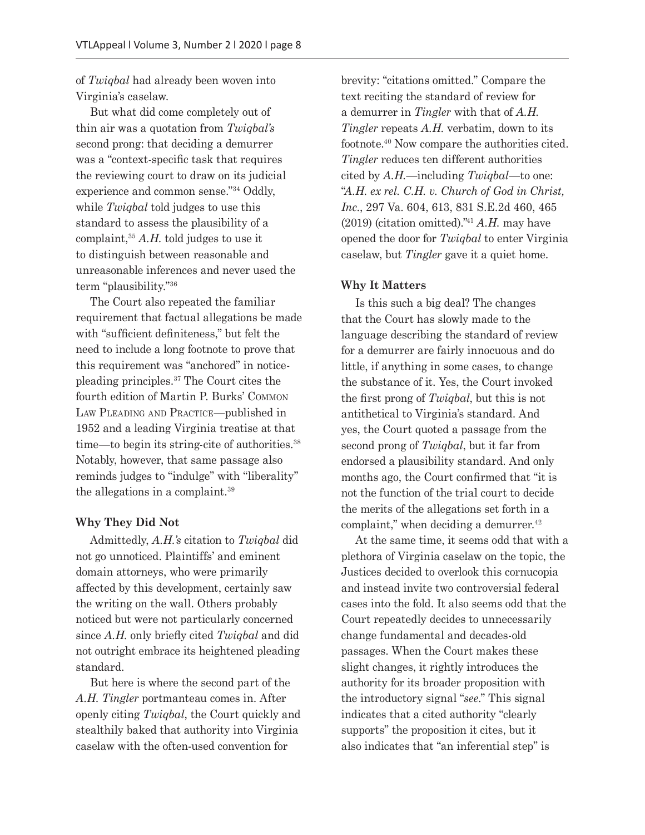of *Twiqbal* had already been woven into Virginia's caselaw.

But what did come completely out of thin air was a quotation from *Twiqbal's*  second prong: that deciding a demurrer was a "context-specific task that requires the reviewing court to draw on its judicial experience and common sense."34 Oddly, while *Twiqbal* told judges to use this standard to assess the plausibility of a complaint,35 *A.H.* told judges to use it to distinguish between reasonable and unreasonable inferences and never used the term "plausibility."36

The Court also repeated the familiar requirement that factual allegations be made with "sufficient definiteness," but felt the need to include a long footnote to prove that this requirement was "anchored" in noticepleading principles.37 The Court cites the fourth edition of Martin P. Burks' Common Law Pleading and Practice—published in 1952 and a leading Virginia treatise at that time—to begin its string-cite of authorities.38 Notably, however, that same passage also reminds judges to "indulge" with "liberality" the allegations in a complaint.39

#### **Why They Did Not**

Admittedly, *A.H.'s* citation to *Twiqbal* did not go unnoticed. Plaintiffs' and eminent domain attorneys, who were primarily affected by this development, certainly saw the writing on the wall. Others probably noticed but were not particularly concerned since *A.H.* only briefly cited *Twiqbal* and did not outright embrace its heightened pleading standard.

But here is where the second part of the *A.H. Tingler* portmanteau comes in. After openly citing *Twiqbal*, the Court quickly and stealthily baked that authority into Virginia caselaw with the often-used convention for

brevity: "citations omitted." Compare the text reciting the standard of review for a demurrer in *Tingler* with that of *A.H. Tingler* repeats *A.H.* verbatim, down to its footnote.40 Now compare the authorities cited. *Tingler* reduces ten different authorities cited by *A.H.*—including *Twiqbal*—to one: "*A.H. ex rel. C.H. v. Church of God in Christ, Inc.*, 297 Va. 604, 613, 831 S.E.2d 460, 465 (2019) (citation omitted)."<sup>41</sup> *A.H.* may have opened the door for *Twiqbal* to enter Virginia caselaw, but *Tingler* gave it a quiet home.

#### **Why It Matters**

Is this such a big deal? The changes that the Court has slowly made to the language describing the standard of review for a demurrer are fairly innocuous and do little, if anything in some cases, to change the substance of it. Yes, the Court invoked the first prong of *Twiqbal*, but this is not antithetical to Virginia's standard. And yes, the Court quoted a passage from the second prong of *Twiqbal*, but it far from endorsed a plausibility standard. And only months ago, the Court confirmed that "it is not the function of the trial court to decide the merits of the allegations set forth in a complaint," when deciding a demurrer. $42$ 

At the same time, it seems odd that with a plethora of Virginia caselaw on the topic, the Justices decided to overlook this cornucopia and instead invite two controversial federal cases into the fold. It also seems odd that the Court repeatedly decides to unnecessarily change fundamental and decades-old passages. When the Court makes these slight changes, it rightly introduces the authority for its broader proposition with the introductory signal "*see*." This signal indicates that a cited authority "clearly supports" the proposition it cites, but it also indicates that "an inferential step" is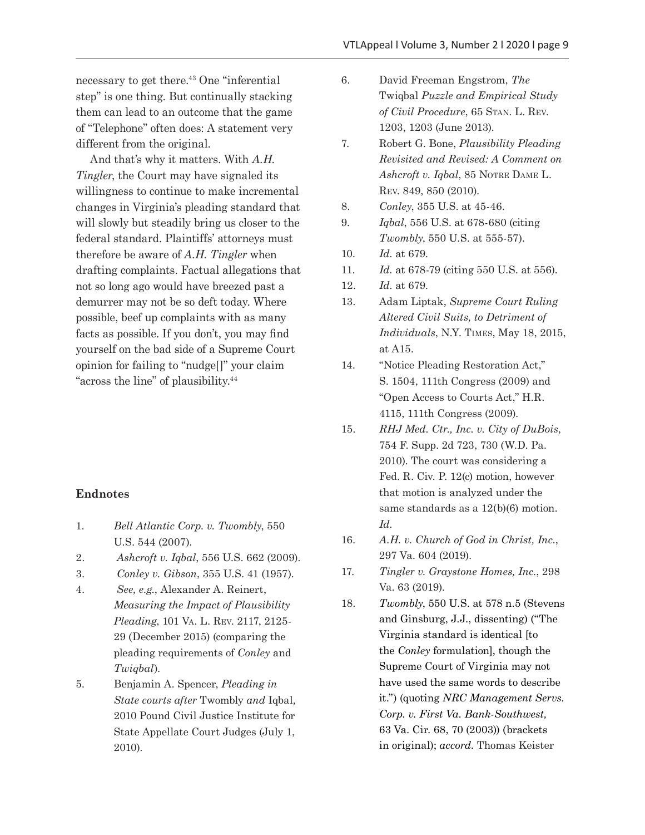necessary to get there.43 One "inferential step" is one thing. But continually stacking them can lead to an outcome that the game of "Telephone" often does: A statement very different from the original.

And that's why it matters. With *A.H. Tingler*, the Court may have signaled its willingness to continue to make incremental changes in Virginia's pleading standard that will slowly but steadily bring us closer to the federal standard. Plaintiffs' attorneys must therefore be aware of *A.H. Tingler* when drafting complaints. Factual allegations that not so long ago would have breezed past a demurrer may not be so deft today. Where possible, beef up complaints with as many facts as possible. If you don't, you may find yourself on the bad side of a Supreme Court opinion for failing to "nudge[]" your claim "across the line" of plausibility.44

### **Endnotes**

- 1. *Bell Atlantic Corp. v. Twombly*, 550 U.S. 544 (2007).
- 2. *Ashcroft v. Iqbal*, 556 U.S. 662 (2009).
- 3. *Conley v. Gibson*, 355 U.S. 41 (1957).
- 4. *See, e.g.*, Alexander A. Reinert, *Measuring the Impact of Plausibility Pleading*, 101 Va. L. Rev. 2117, 2125- 29 (December 2015) (comparing the pleading requirements of *Conley* and *Twiqbal*).
- 5. Benjamin A. Spencer, *Pleading in State courts after* Twombly *and* Iqbal*,*  2010 Pound Civil Justice Institute for State Appellate Court Judges (July 1, 2010).
- 6. David Freeman Engstrom, *The*  Twiqbal *Puzzle and Empirical Study of Civil Procedure*, 65 Stan. L. Rev. 1203, 1203 (June 2013).
- 7. Robert G. Bone, *Plausibility Pleading Revisited and Revised: A Comment on Ashcroft v. Iqbal*, 85 Notre Dame L. Rev. 849, 850 (2010).
- 8. *Conley*, 355 U.S. at 45-46.
- 9. *Iqbal*, 556 U.S. at 678-680 (citing *Twombly*, 550 U.S. at 555-57).
- 10. *Id.* at 679.
- 11. *Id.* at 678-79 (citing 550 U.S. at 556).
- 12. *Id.* at 679.
- 13. Adam Liptak, *Supreme Court Ruling Altered Civil Suits, to Detriment of Individuals*, N.Y. Times, May 18, 2015, at A15.
- 14. "Notice Pleading Restoration Act," S. 1504, 111th Congress (2009) and "Open Access to Courts Act," H.R. 4115, 111th Congress (2009).
- 15. *RHJ Med. Ctr., Inc. v. City of DuBois*, 754 F. Supp. 2d 723, 730 (W.D. Pa. 2010). The court was considering a Fed. R. Civ. P. 12(c) motion, however that motion is analyzed under the same standards as a 12(b)(6) motion. *Id.*
- 16. *A.H. v. Church of God in Christ, Inc.*, 297 Va. 604 (2019).
- 17. *Tingler v. Graystone Homes, Inc.*, 298 Va. 63 (2019).
- 18. *Twombly*, 550 U.S. at 578 n.5 (Stevens and Ginsburg, J.J., dissenting) ("The Virginia standard is identical [to the *Conley* formulation], though the Supreme Court of Virginia may not have used the same words to describe it.") (quoting *NRC Management Servs. Corp. v. First Va. Bank-Southwest,* 63 Va. Cir. 68, 70 (2003)) (brackets in original); *accord.* Thomas Keister